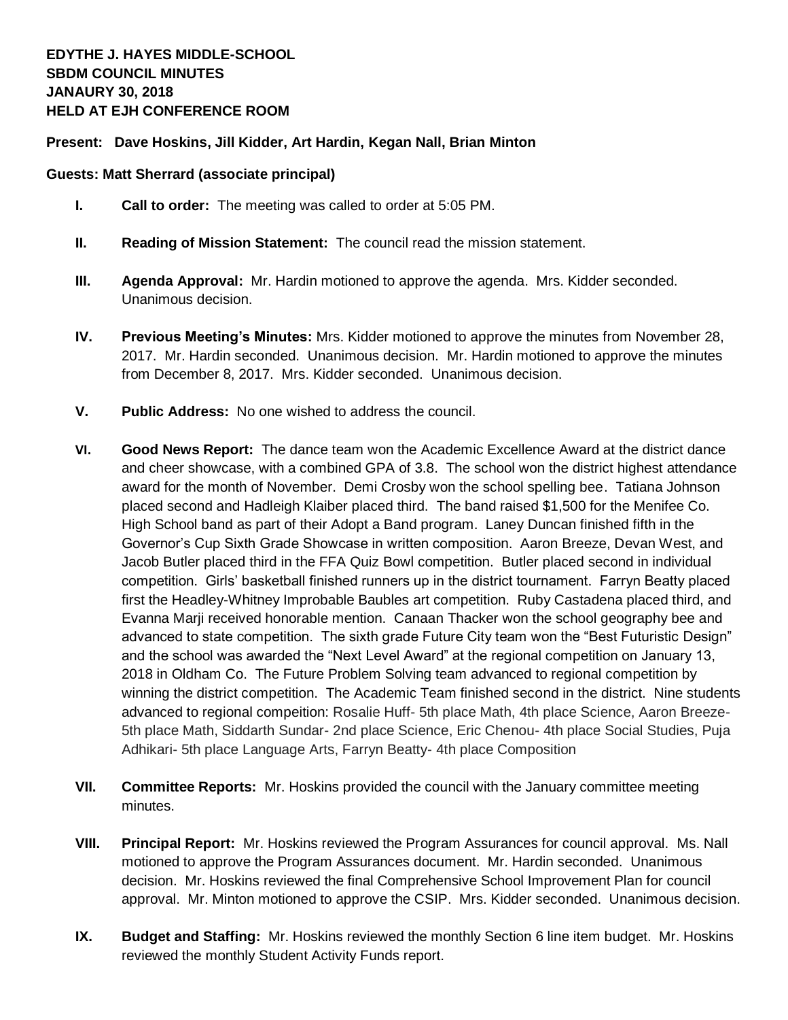## **Present: Dave Hoskins, Jill Kidder, Art Hardin, Kegan Nall, Brian Minton**

## **Guests: Matt Sherrard (associate principal)**

- **I. Call to order:** The meeting was called to order at 5:05 PM.
- **II. Reading of Mission Statement:** The council read the mission statement.
- **III. Agenda Approval:** Mr. Hardin motioned to approve the agenda. Mrs. Kidder seconded. Unanimous decision.
- **IV. Previous Meeting's Minutes:** Mrs. Kidder motioned to approve the minutes from November 28, 2017. Mr. Hardin seconded. Unanimous decision. Mr. Hardin motioned to approve the minutes from December 8, 2017. Mrs. Kidder seconded. Unanimous decision.
- **V. Public Address:** No one wished to address the council.
- **VI. Good News Report:** The dance team won the Academic Excellence Award at the district dance and cheer showcase, with a combined GPA of 3.8. The school won the district highest attendance award for the month of November. Demi Crosby won the school spelling bee. Tatiana Johnson placed second and Hadleigh Klaiber placed third. The band raised \$1,500 for the Menifee Co. High School band as part of their Adopt a Band program. Laney Duncan finished fifth in the Governor's Cup Sixth Grade Showcase in written composition. Aaron Breeze, Devan West, and Jacob Butler placed third in the FFA Quiz Bowl competition. Butler placed second in individual competition. Girls' basketball finished runners up in the district tournament. Farryn Beatty placed first the Headley-Whitney Improbable Baubles art competition. Ruby Castadena placed third, and Evanna Marji received honorable mention. Canaan Thacker won the school geography bee and advanced to state competition. The sixth grade Future City team won the "Best Futuristic Design" and the school was awarded the "Next Level Award" at the regional competition on January 13, 2018 in Oldham Co. The Future Problem Solving team advanced to regional competition by winning the district competition. The Academic Team finished second in the district. Nine students advanced to regional compeition: Rosalie Huff- 5th place Math, 4th place Science, Aaron Breeze-5th place Math, Siddarth Sundar- 2nd place Science, Eric Chenou- 4th place Social Studies, Puja Adhikari- 5th place Language Arts, Farryn Beatty- 4th place Composition
- **VII. Committee Reports:** Mr. Hoskins provided the council with the January committee meeting minutes.
- **VIII. Principal Report:** Mr. Hoskins reviewed the Program Assurances for council approval. Ms. Nall motioned to approve the Program Assurances document. Mr. Hardin seconded. Unanimous decision. Mr. Hoskins reviewed the final Comprehensive School Improvement Plan for council approval. Mr. Minton motioned to approve the CSIP. Mrs. Kidder seconded. Unanimous decision.
- **IX. Budget and Staffing:** Mr. Hoskins reviewed the monthly Section 6 line item budget. Mr. Hoskins reviewed the monthly Student Activity Funds report.